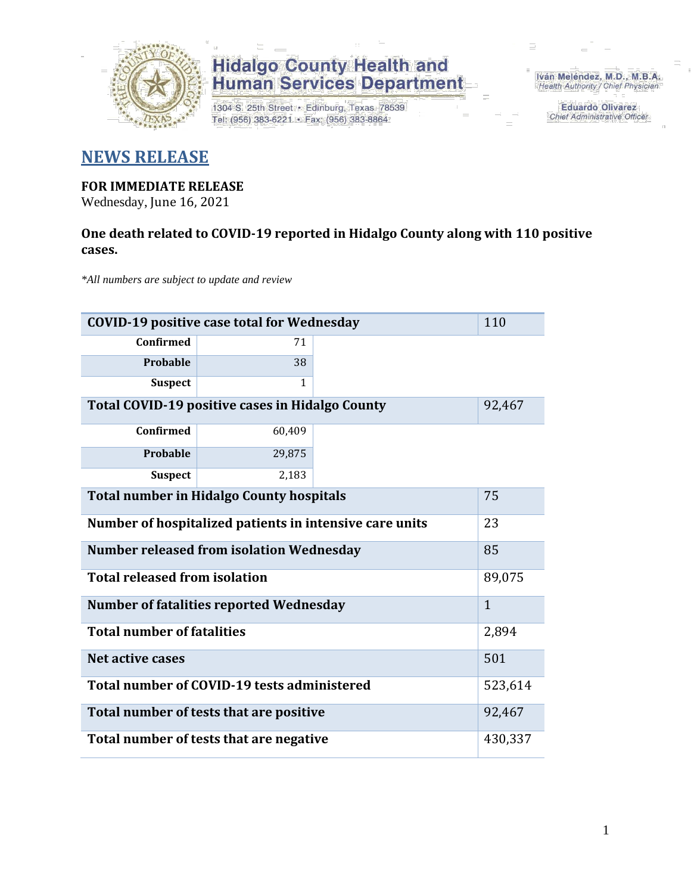

## **Hidalgo County Health and<br>Human Services Department**

1304 S. 25th Street · Edinburg, Texas 78539 Tel: (956) 383-6221 · Fax: (956) 383-8864

Iván Meléndez, M.D., M.B.A. Health Authority / Chief Physician

> **Eduardo Olivarez** Chief Administrative Officer

### **NEWS RELEASE**

#### **FOR IMMEDIATE RELEASE**

Wednesday, June 16, 2021

#### **One death related to COVID-19 reported in Hidalgo County along with 110 positive cases.**

*\*All numbers are subject to update and review*

| 110<br><b>COVID-19 positive case total for Wednesday</b> |              |  |  |  |
|----------------------------------------------------------|--------------|--|--|--|
| <b>Confirmed</b>                                         | 71           |  |  |  |
| Probable                                                 | 38           |  |  |  |
| <b>Suspect</b>                                           | 1            |  |  |  |
| Total COVID-19 positive cases in Hidalgo County          | 92,467       |  |  |  |
| Confirmed                                                | 60,409       |  |  |  |
| Probable                                                 | 29,875       |  |  |  |
| <b>Suspect</b>                                           | 2,183        |  |  |  |
| <b>Total number in Hidalgo County hospitals</b>          | 75           |  |  |  |
| Number of hospitalized patients in intensive care units  | 23           |  |  |  |
| <b>Number released from isolation Wednesday</b><br>85    |              |  |  |  |
| <b>Total released from isolation</b>                     | 89,075       |  |  |  |
| <b>Number of fatalities reported Wednesday</b>           | $\mathbf{1}$ |  |  |  |
| <b>Total number of fatalities</b>                        | 2,894        |  |  |  |
| Net active cases                                         | 501          |  |  |  |
| Total number of COVID-19 tests administered              | 523,614      |  |  |  |
| Total number of tests that are positive                  | 92,467       |  |  |  |
| Total number of tests that are negative                  | 430,337      |  |  |  |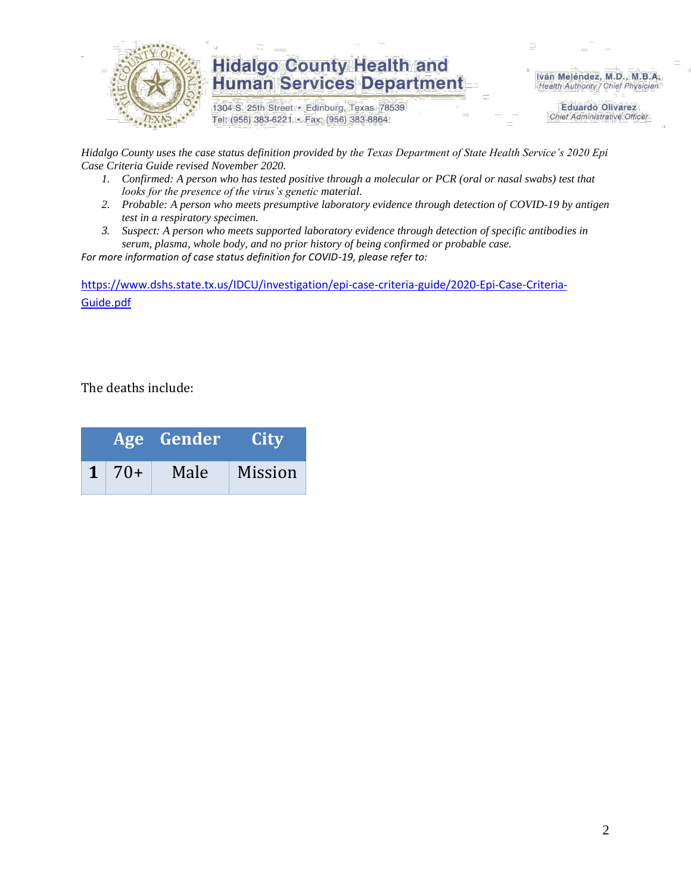

### **Hidalgo County Health and Human Services Department**

1304 S. 25th Street · Edinburg, Texas 78539 Tel: (956) 383-6221 · Fax: (956) 383-8864

Iván Meléndez, M.D., M.B.A. Health Authority / Chief Physician

> **Eduardo Olivarez Chief Administrative Officer**

*Hidalgo County uses the case status definition provided by the Texas Department of State Health Service's 2020 Epi Case Criteria Guide revised November 2020.*

- *1. Confirmed: A person who has tested positive through a molecular or PCR (oral or nasal swabs) test that looks for the presence of the virus's genetic material.*
- *2. Probable: A person who meets presumptive laboratory evidence through detection of COVID-19 by antigen test in a respiratory specimen.*
- *3. Suspect: A person who meets supported laboratory evidence through detection of specific antibodies in serum, plasma, whole body, and no prior history of being confirmed or probable case.*

*For more information of case status definition for COVID-19, please refer to:*

[https://www.dshs.state.tx.us/IDCU/investigation/epi-case-criteria-guide/2020-Epi-Case-Criteria-](https://www.dshs.state.tx.us/IDCU/investigation/epi-case-criteria-guide/2020-Epi-Case-Criteria-Guide.pdf)[Guide.pdf](https://www.dshs.state.tx.us/IDCU/investigation/epi-case-criteria-guide/2020-Epi-Case-Criteria-Guide.pdf)

The deaths include:

|              | Age Gender | <b>City</b> |  |  |
|--------------|------------|-------------|--|--|
| $1 \mid 70+$ | Male       | Mission     |  |  |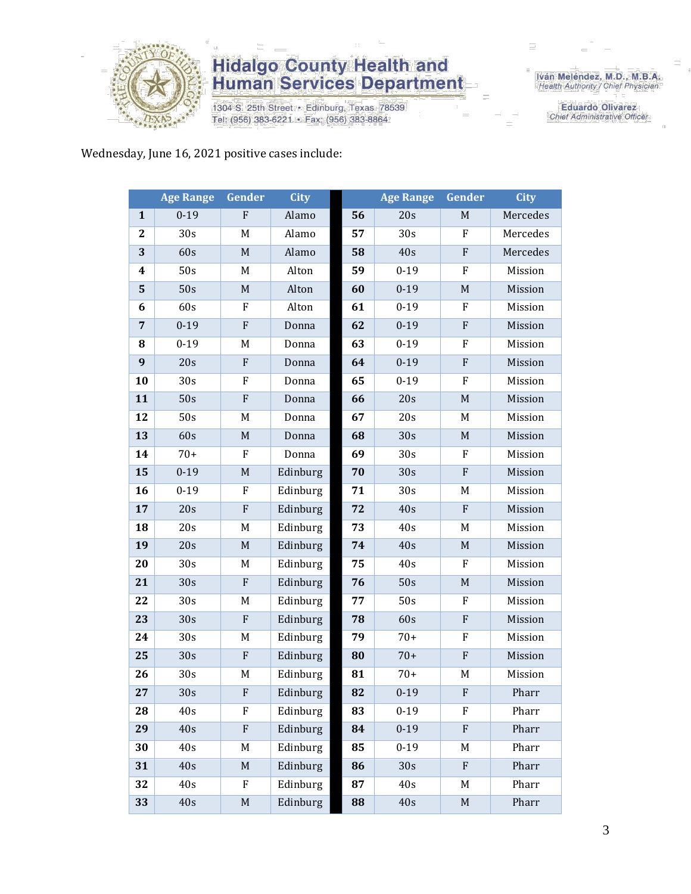

## **Hidalgo County Health and<br>Human Services Department**

1304 S. 25th Street · Edinburg, Texas 78539 Tel: (956) 383-6221 · Fax: (956) 383-8864

Iván Meléndez, M.D., M.B.A.<br>Health Authority / Chief Physician

**Eduardo Olivarez** Chief Administrative Officer

Wednesday, June 16, 2021 positive cases include:

|                  | <b>Age Range</b> | Gender           | <b>City</b> |    | <b>Age Range</b> | Gender                    | <b>City</b> |
|------------------|------------------|------------------|-------------|----|------------------|---------------------------|-------------|
| $\mathbf{1}$     | $0 - 19$         | F                | Alamo       | 56 | 20s              | M                         | Mercedes    |
| $\boldsymbol{2}$ | 30s              | M                | Alamo       | 57 | 30s              | ${\bf F}$                 | Mercedes    |
| 3                | 60s              | $\mathbf M$      | Alamo       | 58 | 40s              | ${\bf F}$                 | Mercedes    |
| 4                | 50s              | M                | Alton       | 59 | $0 - 19$         | F                         | Mission     |
| 5                | 50s              | $\mathbf M$      | Alton       | 60 | $0 - 19$         | M                         | Mission     |
| 6                | 60s              | F                | Alton       | 61 | $0 - 19$         | ${\bf F}$                 | Mission     |
| $\overline{7}$   | $0 - 19$         | ${\bf F}$        | Donna       | 62 | $0 - 19$         | ${\bf F}$                 | Mission     |
| 8                | $0 - 19$         | M                | Donna       | 63 | $0 - 19$         | F                         | Mission     |
| 9                | 20s              | ${\bf F}$        | Donna       | 64 | $0 - 19$         | ${\bf F}$                 | Mission     |
| 10               | 30s              | F                | Donna       | 65 | $0 - 19$         | F                         | Mission     |
| 11               | 50s              | ${\bf F}$        | Donna       | 66 | 20s              | $\mathbf M$               | Mission     |
| 12               | 50s              | M                | Donna       | 67 | 20s              | M                         | Mission     |
| 13               | 60s              | M                | Donna       | 68 | 30s              | $\mathbf M$               | Mission     |
| 14               | $70+$            | F                | Donna       | 69 | 30s              | F                         | Mission     |
| 15               | $0 - 19$         | $\mathbf M$      | Edinburg    | 70 | 30s              | ${\bf F}$                 | Mission     |
| 16               | $0 - 19$         | F                | Edinburg    | 71 | 30s              | M                         | Mission     |
| 17               | 20s              | ${\bf F}$        | Edinburg    | 72 | 40s              | ${\bf F}$                 | Mission     |
| 18               | 20s              | M                | Edinburg    | 73 | 40s              | M                         | Mission     |
| 19               | 20s              | $\mathbf M$      | Edinburg    | 74 | 40s              | M                         | Mission     |
| 20               | 30s              | M                | Edinburg    | 75 | 40s              | ${\bf F}$                 | Mission     |
| 21               | 30s              | ${\bf F}$        | Edinburg    | 76 | 50s              | $\mathbf M$               | Mission     |
| 22               | 30s              | M                | Edinburg    | 77 | 50s              | F                         | Mission     |
| 23               | 30s              | ${\bf F}$        | Edinburg    | 78 | 60s              | ${\bf F}$                 | Mission     |
| 24               | 30s              | $\mathbf M$      | Edinburg    | 79 | $70+$            | $\rm F$                   | Mission     |
| 25               | 30s              | ${\bf F}$        | Edinburg    | 80 | $70+$            | $\mathbf F$               | Mission     |
| 26               | 30s              | $\mathbf M$      | Edinburg    | 81 | $70+$            | M                         | Mission     |
| 27               | 30s              | $\boldsymbol{F}$ | Edinburg    | 82 | $0 - 19$         | $\boldsymbol{\mathrm{F}}$ | Pharr       |
| 28               | 40s              | F                | Edinburg    | 83 | $0-19$           | F                         | Pharr       |
| 29               | 40s              | ${\bf F}$        | Edinburg    | 84 | $0 - 19$         | ${\bf F}$                 | Pharr       |
| 30               | 40s              | M                | Edinburg    | 85 | $0 - 19$         | M                         | Pharr       |
| 31               | 40s              | $\mathbf M$      | Edinburg    | 86 | 30s              | ${\bf F}$                 | Pharr       |
| 32               | 40s              | F                | Edinburg    | 87 | 40s              | M                         | Pharr       |
| 33               | 40s              | $\mathbf M$      | Edinburg    | 88 | 40s              | $\mathbf M$               | Pharr       |